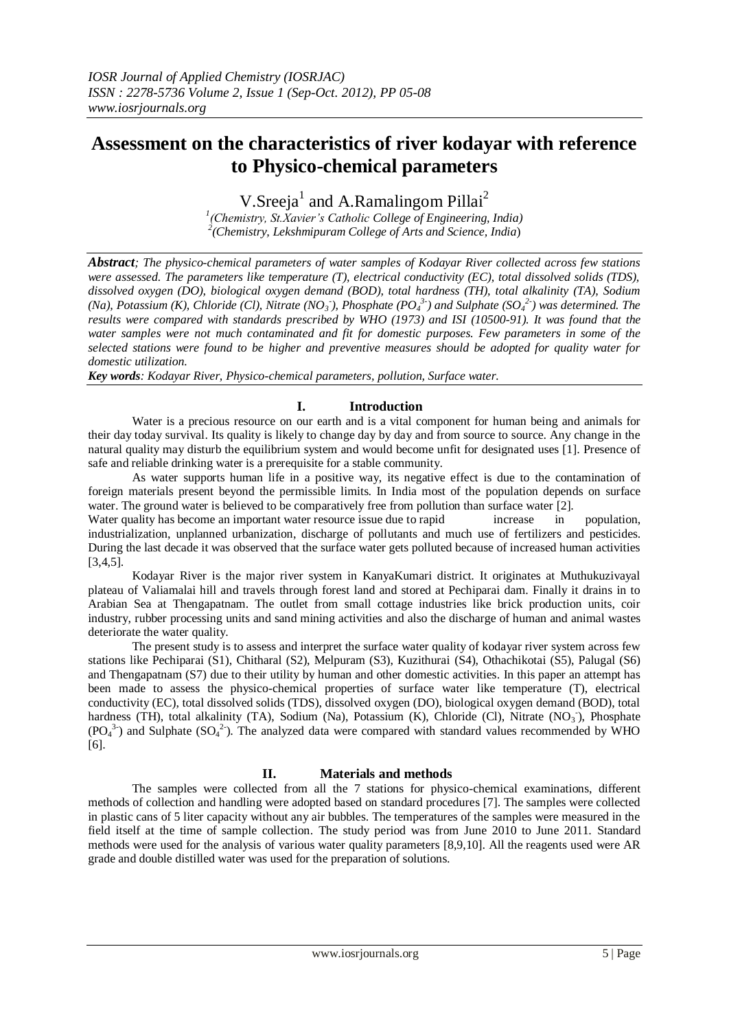# **Assessment on the characteristics of river kodayar with reference to Physico-chemical parameters**

V.Sreeja<sup>1</sup> and A.Ramalingom Pillai<sup>2</sup>

*1 (Chemistry, St.Xavier's Catholic College of Engineering, India) 2 (Chemistry, Lekshmipuram College of Arts and Science, India*)

*Abstract; The physico-chemical parameters of water samples of Kodayar River collected across few stations were assessed. The parameters like temperature (T), electrical conductivity (EC), total dissolved solids (TDS), dissolved oxygen (DO), biological oxygen demand (BOD), total hardness (TH), total alkalinity (TA), Sodium (Na), Potassium (K), Chloride (Cl), Nitrate (NO<sub>3</sub>), Phosphate (PO<sub>4</sub><sup>3</sup>) and Sulphate (SO<sub>4</sub><sup>2</sup>) was determined. The results were compared with standards prescribed by WHO (1973) and ISI (10500-91). It was found that the water samples were not much contaminated and fit for domestic purposes. Few parameters in some of the selected stations were found to be higher and preventive measures should be adopted for quality water for domestic utilization.*

*Key words: Kodayar River, Physico-chemical parameters, pollution, Surface water.*

# **I. Introduction**

Water is a precious resource on our earth and is a vital component for human being and animals for their day today survival. Its quality is likely to change day by day and from source to source. Any change in the natural quality may disturb the equilibrium system and would become unfit for designated uses [1]. Presence of safe and reliable drinking water is a prerequisite for a stable community.

As water supports human life in a positive way, its negative effect is due to the contamination of foreign materials present beyond the permissible limits. In India most of the population depends on surface water. The ground water is believed to be comparatively free from pollution than surface water [2].

Water quality has become an important water resource issue due to rapid increase in population, industrialization, unplanned urbanization, discharge of pollutants and much use of fertilizers and pesticides. During the last decade it was observed that the surface water gets polluted because of increased human activities [3,4,5].

Kodayar River is the major river system in KanyaKumari district. It originates at Muthukuzivayal plateau of Valiamalai hill and travels through forest land and stored at Pechiparai dam. Finally it drains in to Arabian Sea at Thengapatnam. The outlet from small cottage industries like brick production units, coir industry, rubber processing units and sand mining activities and also the discharge of human and animal wastes deteriorate the water quality.

The present study is to assess and interpret the surface water quality of kodayar river system across few stations like Pechiparai (S1), Chitharal (S2), Melpuram (S3), Kuzithurai (S4), Othachikotai (S5), Palugal (S6) and Thengapatnam (S7) due to their utility by human and other domestic activities. In this paper an attempt has been made to assess the physico-chemical properties of surface water like temperature (T), electrical conductivity (EC), total dissolved solids (TDS), dissolved oxygen (DO), biological oxygen demand (BOD), total hardness (TH), total alkalinity (TA), Sodium (Na), Potassium (K), Chloride (Cl), Nitrate (NO<sub>3</sub>), Phosphate  $(PO<sub>4</sub><sup>3</sup>)$  and Sulphate  $(SO<sub>4</sub><sup>2</sup>)$ . The analyzed data were compared with standard values recommended by WHO [6].

# **II. Materials and methods**

The samples were collected from all the 7 stations for physico-chemical examinations, different methods of collection and handling were adopted based on standard procedures [7]. The samples were collected in plastic cans of 5 liter capacity without any air bubbles. The temperatures of the samples were measured in the field itself at the time of sample collection. The study period was from June 2010 to June 2011. Standard methods were used for the analysis of various water quality parameters [8,9,10]. All the reagents used were AR grade and double distilled water was used for the preparation of solutions.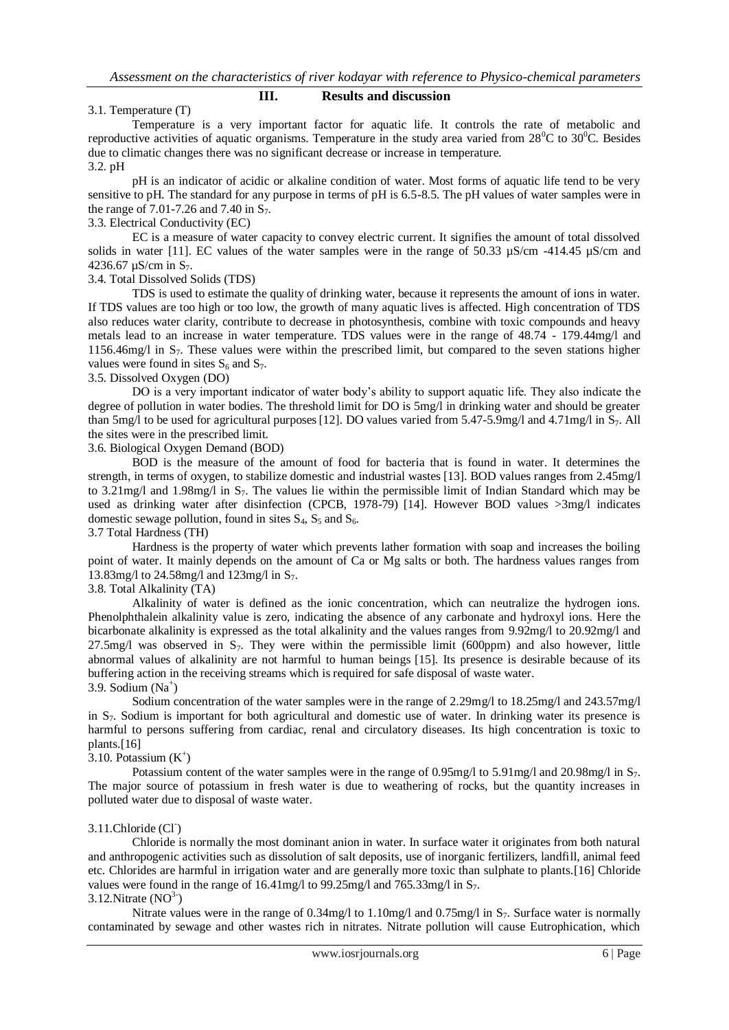#### **III. Results and discussion**

#### 3.1. Temperature (T)

Temperature is a very important factor for aquatic life. It controls the rate of metabolic and reproductive activities of aquatic organisms. Temperature in the study area varied from  $28^{\circ}$ C to  $30^{\circ}$ C. Besides due to climatic changes there was no significant decrease or increase in temperature. 3.2. pH

pH is an indicator of acidic or alkaline condition of water. Most forms of aquatic life tend to be very sensitive to pH. The standard for any purpose in terms of pH is 6.5-8.5. The pH values of water samples were in the range of 7.01-7.26 and 7.40 in  $S_7$ .

# 3.3. Electrical Conductivity (EC)

EC is a measure of water capacity to convey electric current. It signifies the amount of total dissolved solids in water [11]. EC values of the water samples were in the range of 50.33  $\mu$ S/cm -414.45  $\mu$ S/cm and 4236.67  $\mu$ S/cm in S<sub>7</sub>.

#### 3.4. Total Dissolved Solids (TDS)

TDS is used to estimate the quality of drinking water, because it represents the amount of ions in water. If TDS values are too high or too low, the growth of many aquatic lives is affected. High concentration of TDS also reduces water clarity, contribute to decrease in photosynthesis, combine with toxic compounds and heavy metals lead to an increase in water temperature. TDS values were in the range of 48.74 - 179.44mg/l and 1156.46mg/l in S7. These values were within the prescribed limit, but compared to the seven stations higher values were found in sites  $S_6$  and  $S_7$ .

#### 3.5. Dissolved Oxygen (DO)

DO is a very important indicator of water body's ability to support aquatic life. They also indicate the degree of pollution in water bodies. The threshold limit for DO is 5mg/l in drinking water and should be greater than 5mg/l to be used for agricultural purposes [12]. DO values varied from 5.47-5.9mg/l and 4.71mg/l in  $S_7$ . All the sites were in the prescribed limit.

#### 3.6. Biological Oxygen Demand (BOD)

BOD is the measure of the amount of food for bacteria that is found in water. It determines the strength, in terms of oxygen, to stabilize domestic and industrial wastes [13]. BOD values ranges from 2.45mg/l to 3.21mg/l and 1.98mg/l in  $S_7$ . The values lie within the permissible limit of Indian Standard which may be used as drinking water after disinfection (CPCB, 1978-79) [14]. However BOD values  $>3$ mg/l indicates domestic sewage pollution, found in sites  $S_4$ ,  $S_5$  and  $S_6$ .

#### 3.7 Total Hardness (TH)

Hardness is the property of water which prevents lather formation with soap and increases the boiling point of water. It mainly depends on the amount of Ca or Mg salts or both. The hardness values ranges from 13.83mg/l to 24.58mg/l and 123mg/l in S<sub>7</sub>.

## 3.8. Total Alkalinity (TA)

Alkalinity of water is defined as the ionic concentration, which can neutralize the hydrogen ions. Phenolphthalein alkalinity value is zero, indicating the absence of any carbonate and hydroxyl ions. Here the bicarbonate alkalinity is expressed as the total alkalinity and the values ranges from 9.92mg/l to 20.92mg/l and 27.5mg/l was observed in S7. They were within the permissible limit (600ppm) and also however, little abnormal values of alkalinity are not harmful to human beings [15]. Its presence is desirable because of its buffering action in the receiving streams which is required for safe disposal of waste water.  $3.9.$  Sodium (Na<sup>+</sup>)

#### Sodium concentration of the water samples were in the range of 2.29mg/l to 18.25mg/l and 243.57mg/l in  $S_7$ . Sodium is important for both agricultural and domestic use of water. In drinking water its presence is harmful to persons suffering from cardiac, renal and circulatory diseases. Its high concentration is toxic to plants.[16]

### $3.10.$  Potassium  $(K^+)$

Potassium content of the water samples were in the range of  $0.95 \text{mg}/l$  to  $5.91 \text{mg}/l$  and  $20.98 \text{mg}/l$  in  $S_7$ . The major source of potassium in fresh water is due to weathering of rocks, but the quantity increases in polluted water due to disposal of waste water.

## 3.11.Chloride (Cl- )

Chloride is normally the most dominant anion in water. In surface water it originates from both natural and anthropogenic activities such as dissolution of salt deposits, use of inorganic fertilizers, landfill, animal feed etc. Chlorides are harmful in irrigation water and are generally more toxic than sulphate to plants.[16] Chloride values were found in the range of 16.41mg/l to 99.25mg/l and 765.33mg/l in  $S_7$ . 3.12. Nitrate  $(NO<sup>3</sup>)$ 

#### Nitrate values were in the range of 0.34mg/l to 1.10mg/l and 0.75mg/l in S<sub>7</sub>. Surface water is normally contaminated by sewage and other wastes rich in nitrates. Nitrate pollution will cause Eutrophication, which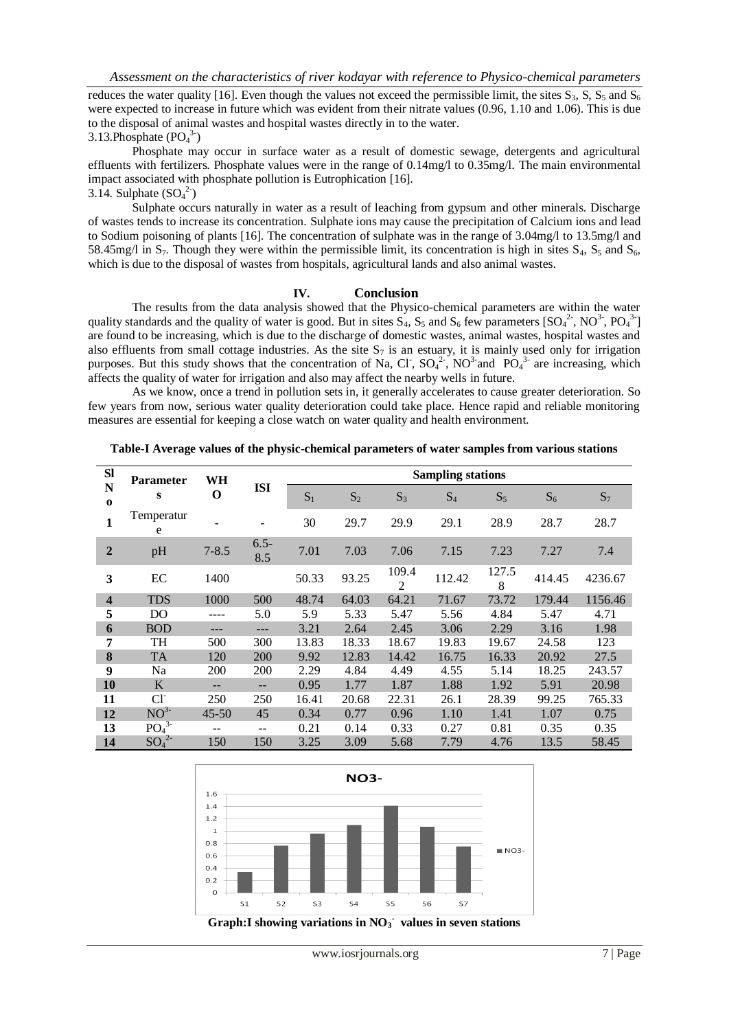reduces the water quality [16]. Even though the values not exceed the permissible limit, the sites  $S_3$ , S,  $S_5$  and  $S_6$ were expected to increase in future which was evident from their nitrate values (0.96, 1.10 and 1.06). This is due to the disposal of animal wastes and hospital wastes directly in to the water.

3.13. Phosphate  $(PO<sub>4</sub><sup>3</sup>)$ 

Phosphate may occur in surface water as a result of domestic sewage, detergents and agricultural effluents with fertilizers. Phosphate values were in the range of 0.14mg/l to 0.35mg/l. The main environmental impact associated with phosphate pollution is Eutrophication [16]. 3.14. Sulphate  $(SO_4^2)$ 

Sulphate occurs naturally in water as a result of leaching from gypsum and other minerals. Discharge of wastes tends to increase its concentration. Sulphate ions may cause the precipitation of Calcium ions and lead to Sodium poisoning of plants [16]. The concentration of sulphate was in the range of 3.04mg/l to 13.5mg/l and 58.45mg/l in  $S_7$ . Though they were within the permissible limit, its concentration is high in sites  $S_4$ ,  $S_5$  and  $S_6$ , which is due to the disposal of wastes from hospitals, agricultural lands and also animal wastes.

#### **IV. Conclusion**

The results from the data analysis showed that the Physico-chemical parameters are within the water quality standards and the quality of water is good. But in sites  $S_4$ ,  $S_5$  and  $S_6$  few parameters  $[SO_4^2$ <sup>2</sup>, NO<sup>3</sup>, PO<sub>4</sub><sup>3-</sup>] are found to be increasing, which is due to the discharge of domestic wastes, animal wastes, hospital wastes and also effluents from small cottage industries. As the site  $S_7$  is an estuary, it is mainly used only for irrigation purposes. But this study shows that the concentration of Na, Cl,  $SO_4^2$ , NO<sup>3-</sup> and PO<sub>4</sub><sup>3-</sup> are increasing, which affects the quality of water for irrigation and also may affect the nearby wells in future.

As we know, once a trend in pollution sets in, it generally accelerates to cause greater deterioration. So few years from now, serious water quality deterioration could take place. Hence rapid and reliable monitoring measures are essential for keeping a close watch on water quality and health environment.

**Table-I Average values of the physic-chemical parameters of water samples from various stations**

| <b>Sl</b>               | <b>Parameter</b><br>S        | WH<br>O   | <b>ISI</b>     | <b>Sampling stations</b> |       |                         |        |            |        |         |
|-------------------------|------------------------------|-----------|----------------|--------------------------|-------|-------------------------|--------|------------|--------|---------|
| N<br>$\bf{0}$           |                              |           |                | $S_1$                    | $S_2$ | $S_3$                   | $S_4$  | $S_5$      | $S_6$  | $S_7$   |
| 1                       | Temperatur<br>e              |           |                | 30                       | 29.7  | 29.9                    | 29.1   | 28.9       | 28.7   | 28.7    |
| $\overline{2}$          | pH                           | $7 - 8.5$ | $6.5 -$<br>8.5 | 7.01                     | 7.03  | 7.06                    | 7.15   | 7.23       | 7.27   | 7.4     |
| 3                       | EC                           | 1400      |                | 50.33                    | 93.25 | 109.4<br>$\overline{2}$ | 112.42 | 127.5<br>8 | 414.45 | 4236.67 |
| $\overline{\mathbf{4}}$ | <b>TDS</b>                   | 1000      | 500            | 48.74                    | 64.03 | 64.21                   | 71.67  | 73.72      | 179.44 | 1156.46 |
| 5                       | DO                           |           | 5.0            | 5.9                      | 5.33  | 5.47                    | 5.56   | 4.84       | 5.47   | 4.71    |
| 6                       | <b>BOD</b>                   | ---       | ---            | 3.21                     | 2.64  | 2.45                    | 3.06   | 2.29       | 3.16   | 1.98    |
| 7                       | TH                           | 500       | 300            | 13.83                    | 18.33 | 18.67                   | 19.83  | 19.67      | 24.58  | 123     |
| 8                       | <b>TA</b>                    | 120       | 200            | 9.92                     | 12.83 | 14.42                   | 16.75  | 16.33      | 20.92  | 27.5    |
| 9                       | Na                           | 200       | 200            | 2.29                     | 4.84  | 4.49                    | 4.55   | 5.14       | 18.25  | 243.57  |
| 10                      | K                            | $- -$     | --             | 0.95                     | 1.77  | 1.87                    | 1.88   | 1.92       | 5.91   | 20.98   |
| 11                      | $Cl^{\dagger}$               | 250       | 250            | 16.41                    | 20.68 | 22.31                   | 26.1   | 28.39      | 99.25  | 765.33  |
| 12                      | NO <sup>3</sup>              | $45 - 50$ | 45             | 0.34                     | 0.77  | 0.96                    | 1.10   | 1.41       | 1.07   | 0.75    |
| 13                      | PO <sub>4</sub> <sup>3</sup> | $- -$     | --             | 0.21                     | 0.14  | 0.33                    | 0.27   | 0.81       | 0.35   | 0.35    |
| 14                      | $SO_4^2$                     | 150       | 150            | 3.25                     | 3.09  | 5.68                    | 7.79   | 4.76       | 13.5   | 58.45   |